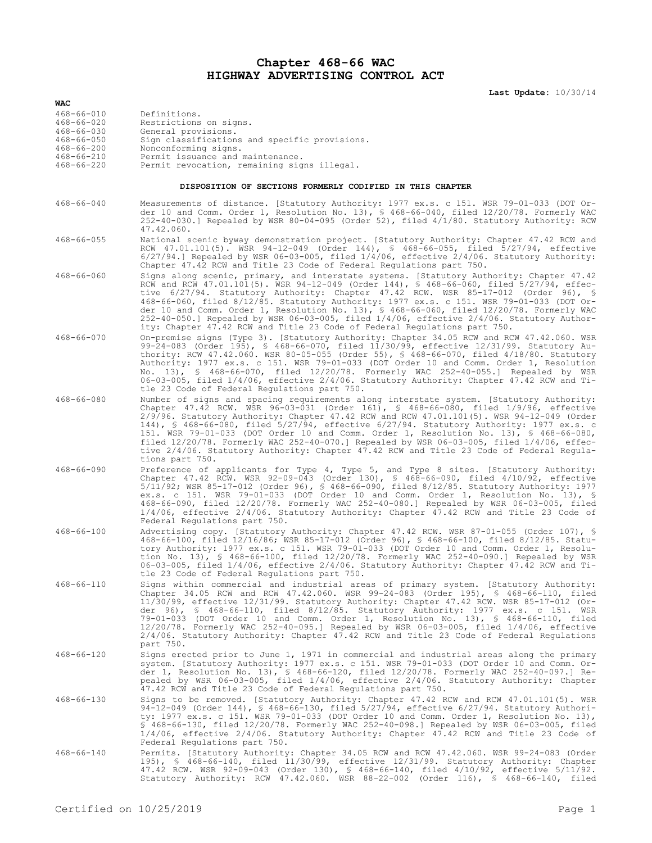## **Chapter 468-66 WAC HIGHWAY ADVERTISING CONTROL ACT**

**Last Update:** 10/30/14

| WAC                                                       |                                                                                                                                                                                                                                                                                                                                                                                                                                                                                                                                                                                                                                                                                      |  |  |
|-----------------------------------------------------------|--------------------------------------------------------------------------------------------------------------------------------------------------------------------------------------------------------------------------------------------------------------------------------------------------------------------------------------------------------------------------------------------------------------------------------------------------------------------------------------------------------------------------------------------------------------------------------------------------------------------------------------------------------------------------------------|--|--|
| 468-66-010                                                | Definitions.                                                                                                                                                                                                                                                                                                                                                                                                                                                                                                                                                                                                                                                                         |  |  |
| $468 - 66 - 020$<br>$468 - 66 - 030$                      | Restrictions on signs.<br>General provisions.                                                                                                                                                                                                                                                                                                                                                                                                                                                                                                                                                                                                                                        |  |  |
| $468 - 66 - 050$                                          | Sign classifications and specific provisions.                                                                                                                                                                                                                                                                                                                                                                                                                                                                                                                                                                                                                                        |  |  |
| $468 - 66 - 200$                                          | Nonconforming signs.                                                                                                                                                                                                                                                                                                                                                                                                                                                                                                                                                                                                                                                                 |  |  |
| $468 - 66 - 210$<br>$468 - 66 - 220$                      | Permit issuance and maintenance.<br>Permit revocation, remaining signs illegal.                                                                                                                                                                                                                                                                                                                                                                                                                                                                                                                                                                                                      |  |  |
| DISPOSITION OF SECTIONS FORMERLY CODIFIED IN THIS CHAPTER |                                                                                                                                                                                                                                                                                                                                                                                                                                                                                                                                                                                                                                                                                      |  |  |
| $468 - 66 - 040$                                          | Measurements of distance. [Statutory Authority: 1977 ex.s. c 151. WSR 79-01-033 (DOT Or-                                                                                                                                                                                                                                                                                                                                                                                                                                                                                                                                                                                             |  |  |
|                                                           | der 10 and Comm. Order 1, Resolution No. 13), $\frac{1}{5}$ 468-66-040, filed 12/20/78. Formerly WAC<br>252-40-030.] Repealed by WSR 80-04-095 (Order 52), filed 4/1/80. Statutory Authority: RCW<br>47.42.060.                                                                                                                                                                                                                                                                                                                                                                                                                                                                      |  |  |
| $468 - 66 - 055$                                          | National scenic byway demonstration project. [Statutory Authority: Chapter 47.42 RCW and<br>RCW 47.01.101(5). WSR 94-12-049 (Order 144), § 468-66-055, filed 5/27/94, effective<br>$6/27/94.$ ] Repealed by WSR 06-03-005, filed $1/4/06$ , effective $2/4/06$ . Statutory Authority:<br>Chapter 47.42 RCW and Title 23 Code of Federal Regulations part 750.                                                                                                                                                                                                                                                                                                                        |  |  |
| $468 - 66 - 060$                                          | Signs along scenic, primary, and interstate systems. [Statutory Authority: Chapter 47.42                                                                                                                                                                                                                                                                                                                                                                                                                                                                                                                                                                                             |  |  |
|                                                           | RCW and RCW 47.01.101(5). WSR 94-12-049 (Order 144), § 468-66-060, filed 5/27/94, effec-<br>tive 6/27/94. Statutory Authority: Chapter 47.42 RCW. WSR 85-17-012 (Order 96), §<br>468-66-060, filed 8/12/85. Statutory Authority: 1977 ex.s. c 151. WSR 79-01-033 (DOT Or-<br>der 10 and Comm. Order 1, Resolution No. 13), § 468-66-060, filed 12/20/78. Formerly WAC<br>252-40-050.] Repealed by WSR 06-03-005, filed 1/4/06, effective 2/4/06. Statutory Author-<br>ity: Chapter 47.42 RCW and Title 23 Code of Federal Requlations part 750.                                                                                                                                      |  |  |
| $468 - 66 - 070$                                          | On-premise signs (Type 3). [Statutory Authority: Chapter 34.05 RCW and RCW 47.42.060. WSR<br>99-24-083 (Order 195), § 468-66-070, filed 11/30/99, effective 12/31/99. Statutory Au-<br>thority: RCW 47.42.060. WSR 80-05-055 (Order 55), \$ 468-66-070, filed 4/18/80. Statutory<br>Authority: 1977 ex.s. c 151. WSR 79-01-033 (DOT Order 10 and Comm. Order 1, Resolution<br>No. 13), § 468-66-070, filed 12/20/78. Formerly WAC 252-40-055.] Repealed by WSR<br>06-03-005, filed 1/4/06, effective 2/4/06. Statutory Authority: Chapter 47.42 RCW and Ti-<br>tle 23 Code of Federal Regulations part 750.                                                                          |  |  |
| $468 - 66 - 080$                                          | Number of signs and spacing requirements along interstate system. [Statutory Authority:<br>Chapter 47.42 RCW. WSR 96-03-031 (Order 161), § 468-66-080, filed 1/9/96, effective<br>$2/9/96$ . Statutory Authority: Chapter 47.42 RCW and RCW 47.01.101(5). WSR 94-12-049 (Order<br>144), § 468-66-080, filed 5/27/94, effective 6/27/94. Statutory Authority: 1977 ex.s. c<br>151. WSR 79-01-033 (DOT Order 10 and Comm. Order 1, Resolution No. 13), § 468-66-080,<br>filed $12/20/78$ . Formerly WAC 252-40-070.] Repealed by WSR 06-03-005, filed $1/4/06$ , effec-<br>tive 2/4/06. Statutory Authority: Chapter 47.42 RCW and Title 23 Code of Federal Regula-<br>tions part 750. |  |  |
| $468 - 66 - 090$                                          | Preference of applicants for Type 4, Type 5, and Type 8 sites. [Statutory Authority:<br>Chapter 47.42 RCW. WSR 92-09-043 (Order 130), § 468-66-090, filed 4/10/92, effective<br>5/11/92; WSR 85-17-012 (Order 96), § 468-66-090, filed 8/12/85. Statutory Authority: 1977<br>ex.s. c 151. WSR 79-01-033 (DOT Order 10 and Comm. Order 1, Resolution No. 13), §<br>468-66-090, filed 12/20/78. Formerly WAC 252-40-080.] Repealed by WSR 06-03-005, filed<br>$1/4/06$ , effective $2/4/06$ . Statutory Authority: Chapter 47.42 RCW and Title 23 Code of<br>Federal Regulations part 750.                                                                                             |  |  |
| $468 - 66 - 100$                                          | Advertising copy. [Statutory Authority: Chapter 47.42 RCW. WSR 87-01-055 (Order 107), §<br>468-66-100, filed 12/16/86; WSR 85-17-012 (Order 96), § 468-66-100, filed 8/12/85. Statu-<br>tory Authority: 1977 ex.s. c 151. WSR 79-01-033 (DOT Order 10 and Comm. Order 1, Resolu-<br>tion No. 13), § 468-66-100, filed $12/20/78$ . Formerly WAC 252-40-090.] Repealed by WSR<br>06-03-005, filed 1/4/06, effective 2/4/06. Statutory Authority: Chapter 47.42 RCW and Ti-<br>tle 23 Code of Federal Regulations part 750.                                                                                                                                                            |  |  |
| $468 - 66 - 110$                                          | Signs within commercial and industrial areas of primary system. [Statutory Authority:<br>Chapter 34.05 RCW and RCW 47.42.060. WSR 99-24-083 (Order 195), § 468-66-110, filed<br>11/30/99, effective 12/31/99. Statutory Authority: Chapter 47.42 RCW. WSR 85-17-012 (Or-<br>der 96), § 468-66-110, filed 8/12/85. Statutory Authority: 1977 ex.s. c 151. WSR<br>79-01-033 (DOT Order 10 and Comm. Order 1, Resolution No. 13), § 468-66-110, filed<br>12/20/78. Formerly WAC 252-40-095.] Repealed by WSR 06-03-005, filed 1/4/06, effective<br>2/4/06. Statutory Authority: Chapter 47.42 RCW and Title 23 Code of Federal Requlations<br>part 750.                                 |  |  |
| $468 - 66 - 120$                                          | Signs erected prior to June 1, 1971 in commercial and industrial areas along the primary<br>system. [Statutory Authority: 1977 ex.s. c 151. WSR 79-01-033 (DOT Order 10 and Comm. Or-<br>der 1, Resolution No. 13), § 468-66-120, filed 12/20/78. Formerly WAC 252-40-097.] Re-<br>pealed by WSR 06-03-005, filed 1/4/06, effective 2/4/06. Statutory Authority: Chapter<br>47.42 RCW and Title 23 Code of Federal Regulations part 750.                                                                                                                                                                                                                                             |  |  |
| $468 - 66 - 130$                                          | Signs to be removed. [Statutory Authority: Chapter 47.42 RCW and RCW 47.01.101(5). WSR<br>94-12-049 (Order 144), § 468-66-130, filed 5/27/94, effective 6/27/94. Statutory Authori-<br>ty: 1977 ex.s. c 151. WSR 79-01-033 (DOT Order 10 and Comm. Order 1, Resolution No. 13),<br>\$ 468-66-130, filed 12/20/78. Formerly WAC 252-40-098.] Repealed by WSR 06-03-005, filed<br>1/4/06, effective 2/4/06. Statutory Authority: Chapter 47.42 RCW and Title 23 Code of<br>Federal Requlations part 750.                                                                                                                                                                               |  |  |
| $468 - 66 - 140$                                          | Permits. [Statutory Authority: Chapter 34.05 RCW and RCW 47.42.060. WSR 99-24-083 (Order<br>195), § 468-66-140, filed $11/30/99$ , effective $12/31/99$ . Statutory Authority: Chapter<br>47.42 RCW. WSR 92-09-043 (Order 130), § 468-66-140, filed 4/10/92, effective 5/11/92.<br>Statutory Authority: RCW 47.42.060. WSR 88-22-002 (Order 116), § 468-66-140, filed                                                                                                                                                                                                                                                                                                                |  |  |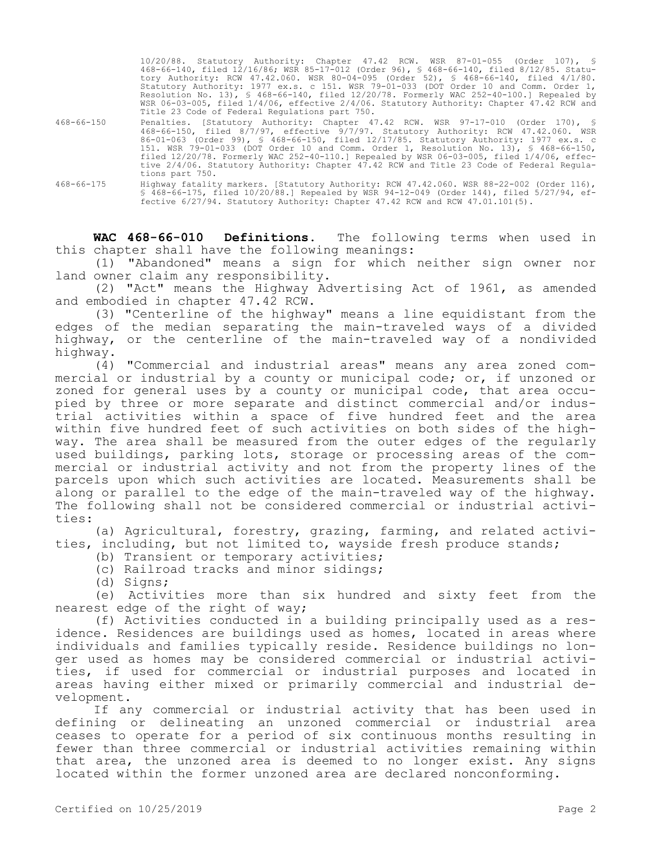|                  | 10/20/88. Statutory Authority: Chapter 47.42 RCW. WSR 87-01-055 (Order 107), §<br>468-66-140, filed 12/16/86; WSR 85-17-012 (Order 96), § 468-66-140, filed 8/12/85. Statu-<br>tory Authority: RCW 47.42.060. WSR 80-04-095 (Order 52), § 468-66-140, filed 4/1/80.<br>Statutory Authority: 1977 ex.s. c 151. WSR 79-01-033 (DOT Order 10 and Comm. Order 1,<br>Resolution No. 13), § 468-66-140, filed $12/20/78$ . Formerly WAC 252-40-100.] Repealed by<br>WSR 06-03-005, filed 1/4/06, effective 2/4/06. Statutory Authority: Chapter 47.42 RCW and<br>Title 23 Code of Federal Requiations part 750. |
|------------------|-----------------------------------------------------------------------------------------------------------------------------------------------------------------------------------------------------------------------------------------------------------------------------------------------------------------------------------------------------------------------------------------------------------------------------------------------------------------------------------------------------------------------------------------------------------------------------------------------------------|
| $468 - 66 - 150$ | Penalties. [Statutory Authority: Chapter 47.42 RCW. WSR 97-17-010 (Order 170), §<br>468-66-150, filed 8/7/97, effective 9/7/97. Statutory Authority: RCW 47.42.060. WSR<br>86-01-063 (Order 99), § 468-66-150, filed 12/17/85. Statutory Authority: 1977 ex.s. c<br>151. WSR 79-01-033 (DOT Order 10 and Comm. Order 1, Resolution No. 13), § 468-66-150,<br>filed $12/20/78$ . Formerly WAC 252-40-110.] Repealed by WSR 06-03-005, filed $1/4/06$ , effec-<br>tive 2/4/06. Statutory Authority: Chapter 47.42 RCW and Title 23 Code of Federal Regula-<br>tions part 750.                               |
| $468 - 66 - 175$ | Highway fatality markers. [Statutory Authority: RCW 47.42.060. WSR 88-22-002 (Order 116),<br>\$ 468-66-175, filed 10/20/88.] Repealed by WSR 94-12-049 (Order 144), filed 5/27/94, ef-<br>fective 6/27/94. Statutory Authority: Chapter 47.42 RCW and RCW 47.01.101(5).                                                                                                                                                                                                                                                                                                                                   |

**WAC 468-66-010 Definitions.** The following terms when used in this chapter shall have the following meanings:

(1) "Abandoned" means a sign for which neither sign owner nor land owner claim any responsibility.

(2) "Act" means the Highway Advertising Act of 1961, as amended and embodied in chapter 47.42 RCW.

(3) "Centerline of the highway" means a line equidistant from the edges of the median separating the main-traveled ways of a divided highway, or the centerline of the main-traveled way of a nondivided highway.

(4) "Commercial and industrial areas" means any area zoned commercial or industrial by a county or municipal code; or, if unzoned or zoned for general uses by a county or municipal code, that area occupied by three or more separate and distinct commercial and/or industrial activities within a space of five hundred feet and the area within five hundred feet of such activities on both sides of the highway. The area shall be measured from the outer edges of the regularly used buildings, parking lots, storage or processing areas of the commercial or industrial activity and not from the property lines of the parcels upon which such activities are located. Measurements shall be along or parallel to the edge of the main-traveled way of the highway. The following shall not be considered commercial or industrial activities:

(a) Agricultural, forestry, grazing, farming, and related activities, including, but not limited to, wayside fresh produce stands;

(b) Transient or temporary activities;

(c) Railroad tracks and minor sidings;

(d) Signs;

(e) Activities more than six hundred and sixty feet from the nearest edge of the right of way;

(f) Activities conducted in a building principally used as a residence. Residences are buildings used as homes, located in areas where individuals and families typically reside. Residence buildings no longer used as homes may be considered commercial or industrial activities, if used for commercial or industrial purposes and located in areas having either mixed or primarily commercial and industrial development.

If any commercial or industrial activity that has been used in defining or delineating an unzoned commercial or industrial area ceases to operate for a period of six continuous months resulting in fewer than three commercial or industrial activities remaining within that area, the unzoned area is deemed to no longer exist. Any signs located within the former unzoned area are declared nonconforming.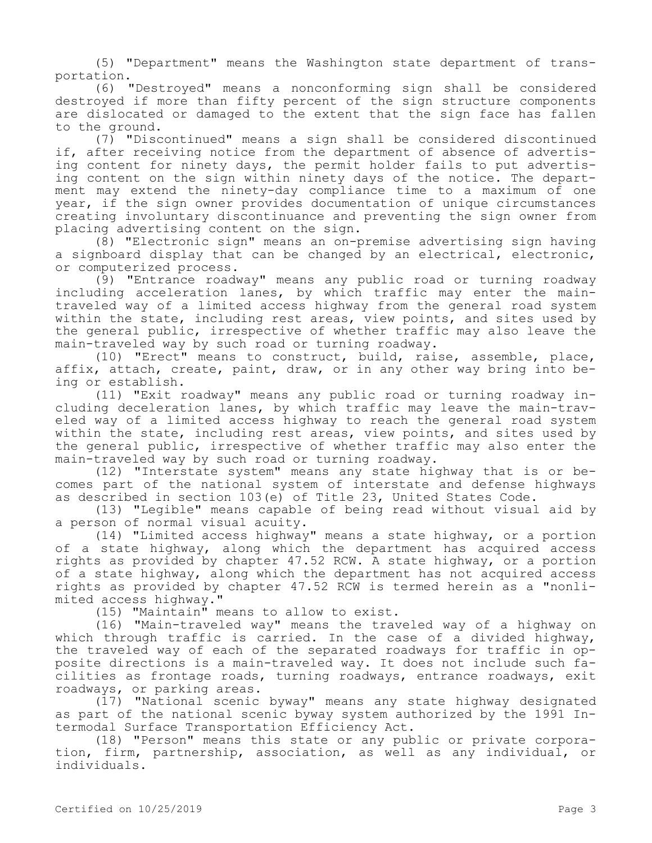(5) "Department" means the Washington state department of transportation.

(6) "Destroyed" means a nonconforming sign shall be considered destroyed if more than fifty percent of the sign structure components are dislocated or damaged to the extent that the sign face has fallen to the ground.

(7) "Discontinued" means a sign shall be considered discontinued if, after receiving notice from the department of absence of advertising content for ninety days, the permit holder fails to put advertising content on the sign within ninety days of the notice. The department may extend the ninety-day compliance time to a maximum of one year, if the sign owner provides documentation of unique circumstances creating involuntary discontinuance and preventing the sign owner from placing advertising content on the sign.

(8) "Electronic sign" means an on-premise advertising sign having a signboard display that can be changed by an electrical, electronic, or computerized process.

(9) "Entrance roadway" means any public road or turning roadway including acceleration lanes, by which traffic may enter the maintraveled way of a limited access highway from the general road system within the state, including rest areas, view points, and sites used by the general public, irrespective of whether traffic may also leave the main-traveled way by such road or turning roadway.

(10) "Erect" means to construct, build, raise, assemble, place, affix, attach, create, paint, draw, or in any other way bring into being or establish.

(11) "Exit roadway" means any public road or turning roadway including deceleration lanes, by which traffic may leave the main-traveled way of a limited access highway to reach the general road system within the state, including rest areas, view points, and sites used by the general public, irrespective of whether traffic may also enter the main-traveled way by such road or turning roadway.

(12) "Interstate system" means any state highway that is or becomes part of the national system of interstate and defense highways as described in section 103(e) of Title 23, United States Code.

(13) "Legible" means capable of being read without visual aid by a person of normal visual acuity.

(14) "Limited access highway" means a state highway, or a portion of a state highway, along which the department has acquired access rights as provided by chapter 47.52 RCW. A state highway, or a portion of a state highway, along which the department has not acquired access rights as provided by chapter 47.52 RCW is termed herein as a "nonlimited access highway."

(15) "Maintain" means to allow to exist.

(16) "Main-traveled way" means the traveled way of a highway on which through traffic is carried. In the case of a divided highway, the traveled way of each of the separated roadways for traffic in opposite directions is a main-traveled way. It does not include such facilities as frontage roads, turning roadways, entrance roadways, exit roadways, or parking areas.

(17) "National scenic byway" means any state highway designated as part of the national scenic byway system authorized by the 1991 Intermodal Surface Transportation Efficiency Act.

(18) "Person" means this state or any public or private corporation, firm, partnership, association, as well as any individual, or individuals.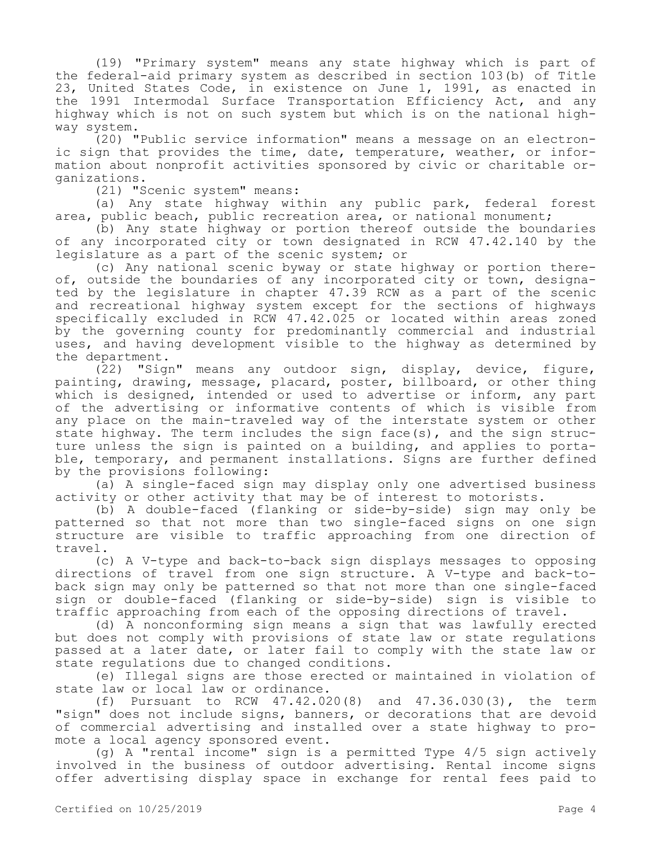(19) "Primary system" means any state highway which is part of the federal-aid primary system as described in section 103(b) of Title 23, United States Code, in existence on June 1, 1991, as enacted in the 1991 Intermodal Surface Transportation Efficiency Act, and any highway which is not on such system but which is on the national highway system.

(20) "Public service information" means a message on an electronic sign that provides the time, date, temperature, weather, or information about nonprofit activities sponsored by civic or charitable organizations.

(21) "Scenic system" means:

(a) Any state highway within any public park, federal forest area, public beach, public recreation area, or national monument;

(b) Any state highway or portion thereof outside the boundaries of any incorporated city or town designated in RCW 47.42.140 by the legislature as a part of the scenic system; or

(c) Any national scenic byway or state highway or portion thereof, outside the boundaries of any incorporated city or town, designated by the legislature in chapter 47.39 RCW as a part of the scenic and recreational highway system except for the sections of highways specifically excluded in RCW 47.42.025 or located within areas zoned by the governing county for predominantly commercial and industrial uses, and having development visible to the highway as determined by the department.

(22) "Sign" means any outdoor sign, display, device, figure, painting, drawing, message, placard, poster, billboard, or other thing which is designed, intended or used to advertise or inform, any part of the advertising or informative contents of which is visible from any place on the main-traveled way of the interstate system or other state highway. The term includes the sign face(s), and the sign structure unless the sign is painted on a building, and applies to portable, temporary, and permanent installations. Signs are further defined by the provisions following:

(a) A single-faced sign may display only one advertised business activity or other activity that may be of interest to motorists.

(b) A double-faced (flanking or side-by-side) sign may only be patterned so that not more than two single-faced signs on one sign structure are visible to traffic approaching from one direction of travel.

(c) A V-type and back-to-back sign displays messages to opposing directions of travel from one sign structure. A V-type and back-toback sign may only be patterned so that not more than one single-faced sign or double-faced (flanking or side-by-side) sign is visible to traffic approaching from each of the opposing directions of travel.

(d) A nonconforming sign means a sign that was lawfully erected but does not comply with provisions of state law or state regulations passed at a later date, or later fail to comply with the state law or state regulations due to changed conditions.

(e) Illegal signs are those erected or maintained in violation of state law or local law or ordinance.

(f) Pursuant to RCW 47.42.020(8) and 47.36.030(3), the term "sign" does not include signs, banners, or decorations that are devoid of commercial advertising and installed over a state highway to promote a local agency sponsored event.

(g) A "rental income" sign is a permitted Type 4/5 sign actively involved in the business of outdoor advertising. Rental income signs offer advertising display space in exchange for rental fees paid to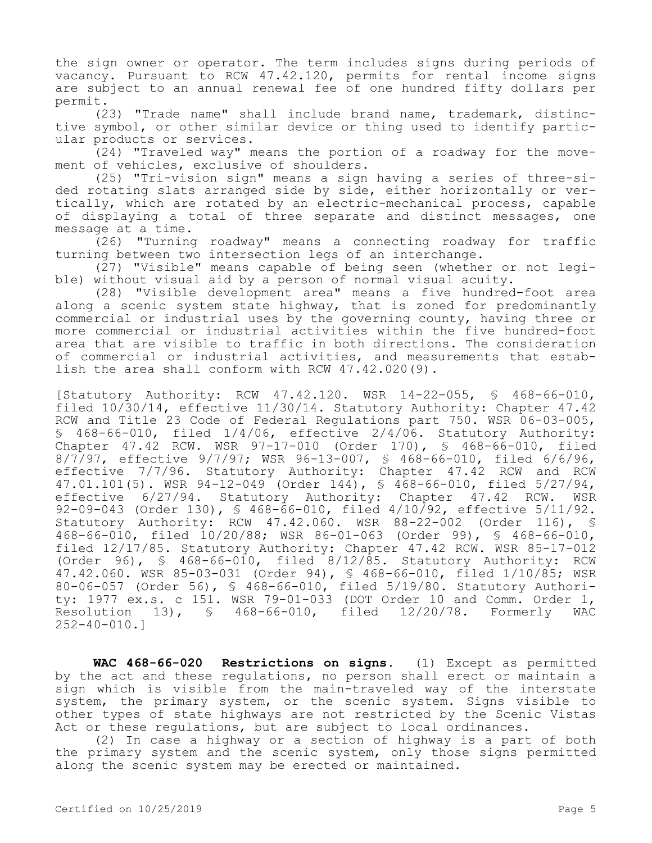the sign owner or operator. The term includes signs during periods of vacancy. Pursuant to RCW 47.42.120, permits for rental income signs are subject to an annual renewal fee of one hundred fifty dollars per permit.

(23) "Trade name" shall include brand name, trademark, distinctive symbol, or other similar device or thing used to identify particular products or services.

(24) "Traveled way" means the portion of a roadway for the movement of vehicles, exclusive of shoulders.

(25) "Tri-vision sign" means a sign having a series of three-sided rotating slats arranged side by side, either horizontally or vertically, which are rotated by an electric-mechanical process, capable of displaying a total of three separate and distinct messages, one message at a time.

(26) "Turning roadway" means a connecting roadway for traffic turning between two intersection legs of an interchange.

(27) "Visible" means capable of being seen (whether or not legible) without visual aid by a person of normal visual acuity.

(28) "Visible development area" means a five hundred-foot area along a scenic system state highway, that is zoned for predominantly commercial or industrial uses by the governing county, having three or more commercial or industrial activities within the five hundred-foot area that are visible to traffic in both directions. The consideration of commercial or industrial activities, and measurements that establish the area shall conform with RCW 47.42.020(9).

[Statutory Authority: RCW 47.42.120. WSR 14-22-055, § 468-66-010, filed 10/30/14, effective 11/30/14. Statutory Authority: Chapter 47.42 RCW and Title 23 Code of Federal Regulations part 750. WSR 06-03-005, § 468-66-010, filed 1/4/06, effective 2/4/06. Statutory Authority: Chapter 47.42 RCW. WSR 97-17-010 (Order 170), § 468-66-010, filed 8/7/97, effective 9/7/97; WSR 96-13-007, § 468-66-010, filed 6/6/96, effective 7/7/96. Statutory Authority: Chapter 47.42 RCW and RCW 47.01.101(5). WSR 94-12-049 (Order 144), § 468-66-010, filed 5/27/94, effective 6/27/94. Statutory Authority: Chapter 47.42 RCW. WSR 92-09-043 (Order 130), § 468-66-010, filed 4/10/92, effective 5/11/92. Statutory Authority: RCW 47.42.060. WSR 88-22-002 (Order 116), § 468-66-010, filed 10/20/88; WSR 86-01-063 (Order 99), § 468-66-010, filed 12/17/85. Statutory Authority: Chapter 47.42 RCW. WSR 85-17-012 (Order 96), § 468-66-010, filed 8/12/85. Statutory Authority: RCW 47.42.060. WSR 85-03-031 (Order 94), § 468-66-010, filed 1/10/85; WSR 80-06-057 (Order 56), § 468-66-010, filed 5/19/80. Statutory Authority: 1977 ex.s. c 151. WSR 79-01-033 (DOT Order 10 and Comm. Order 1, Resolution 13), § 468-66-010, filed 12/20/78. Formerly WAC 252-40-010.]

**WAC 468-66-020 Restrictions on signs.** (1) Except as permitted by the act and these regulations, no person shall erect or maintain a sign which is visible from the main-traveled way of the interstate system, the primary system, or the scenic system. Signs visible to other types of state highways are not restricted by the Scenic Vistas Act or these regulations, but are subject to local ordinances.

(2) In case a highway or a section of highway is a part of both the primary system and the scenic system, only those signs permitted along the scenic system may be erected or maintained.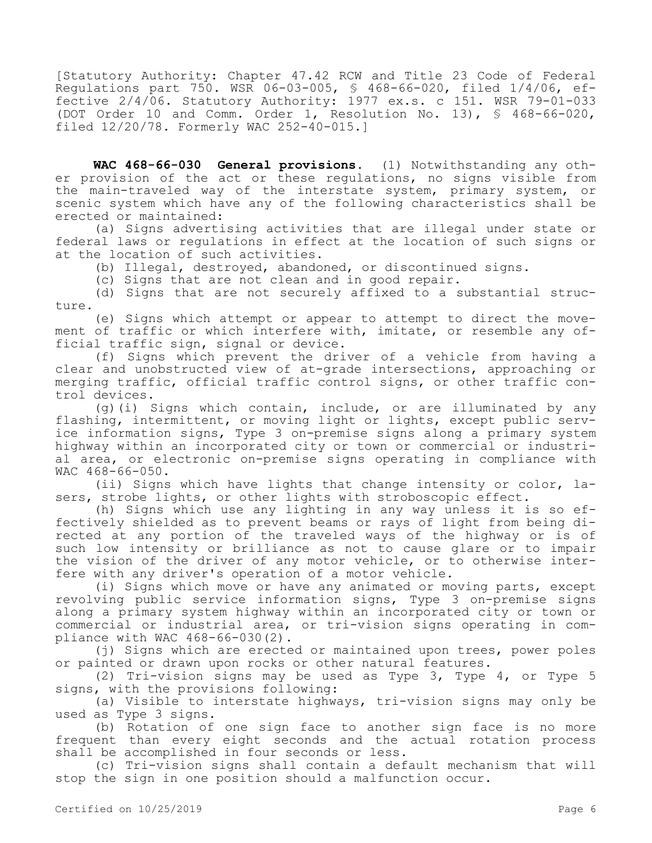[Statutory Authority: Chapter 47.42 RCW and Title 23 Code of Federal Regulations part 750. WSR 06-03-005, § 468-66-020, filed 1/4/06, effective 2/4/06. Statutory Authority: 1977 ex.s. c 151. WSR 79-01-033 (DOT Order 10 and Comm. Order 1, Resolution No. 13), § 468-66-020, filed 12/20/78. Formerly WAC 252-40-015.]

**WAC 468-66-030 General provisions.** (1) Notwithstanding any other provision of the act or these regulations, no signs visible from the main-traveled way of the interstate system, primary system, or scenic system which have any of the following characteristics shall be erected or maintained:

(a) Signs advertising activities that are illegal under state or federal laws or regulations in effect at the location of such signs or at the location of such activities.

(b) Illegal, destroyed, abandoned, or discontinued signs.

(c) Signs that are not clean and in good repair.

(d) Signs that are not securely affixed to a substantial structure.

(e) Signs which attempt or appear to attempt to direct the movement of traffic or which interfere with, imitate, or resemble any official traffic sign, signal or device.

(f) Signs which prevent the driver of a vehicle from having a clear and unobstructed view of at-grade intersections, approaching or merging traffic, official traffic control signs, or other traffic control devices.

 $(q)$  (i) Signs which contain, include, or are illuminated by any flashing, intermittent, or moving light or lights, except public service information signs, Type 3 on-premise signs along a primary system highway within an incorporated city or town or commercial or industrial area, or electronic on-premise signs operating in compliance with WAC 468-66-050.

(ii) Signs which have lights that change intensity or color, lasers, strobe lights, or other lights with stroboscopic effect.

(h) Signs which use any lighting in any way unless it is so effectively shielded as to prevent beams or rays of light from being directed at any portion of the traveled ways of the highway or is of such low intensity or brilliance as not to cause glare or to impair the vision of the driver of any motor vehicle, or to otherwise interfere with any driver's operation of a motor vehicle.

(i) Signs which move or have any animated or moving parts, except revolving public service information signs, Type 3 on-premise signs along a primary system highway within an incorporated city or town or commercial or industrial area, or tri-vision signs operating in compliance with WAC 468-66-030(2).

(j) Signs which are erected or maintained upon trees, power poles or painted or drawn upon rocks or other natural features.

(2) Tri-vision signs may be used as Type 3, Type 4, or Type 5 signs, with the provisions following:

(a) Visible to interstate highways, tri-vision signs may only be used as Type 3 signs.

(b) Rotation of one sign face to another sign face is no more frequent than every eight seconds and the actual rotation process shall be accomplished in four seconds or less.

(c) Tri-vision signs shall contain a default mechanism that will stop the sign in one position should a malfunction occur.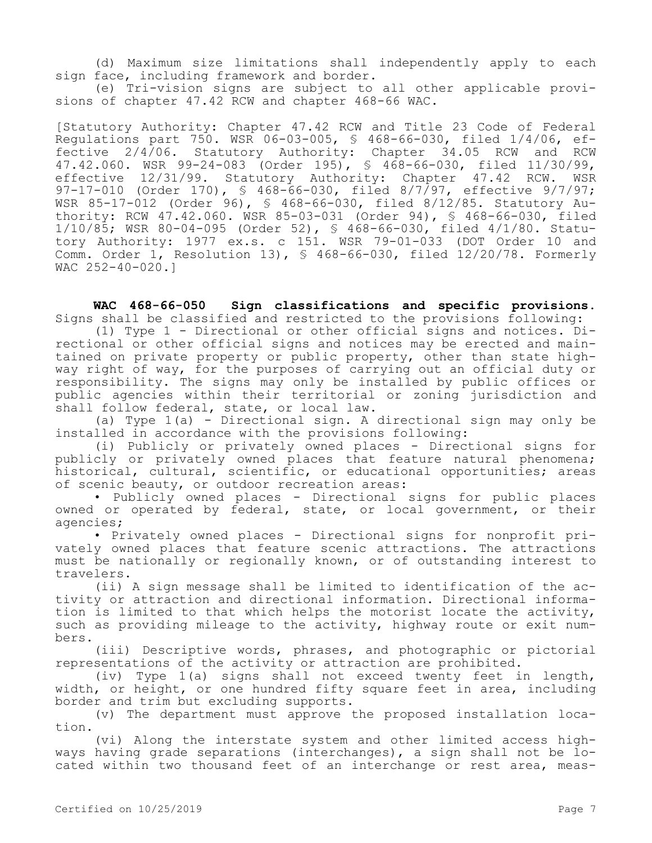(d) Maximum size limitations shall independently apply to each sign face, including framework and border.

(e) Tri-vision signs are subject to all other applicable provisions of chapter 47.42 RCW and chapter 468-66 WAC.

[Statutory Authority: Chapter 47.42 RCW and Title 23 Code of Federal Regulations part 750. WSR 06-03-005, § 468-66-030, filed 1/4/06, effective 2/4/06. Statutory Authority: Chapter 34.05 RCW and RCW 47.42.060. WSR 99-24-083 (Order 195), § 468-66-030, filed 11/30/99, effective 12/31/99. Statutory Authority: Chapter 47.42 RCW. WSR 97-17-010 (Order 170), § 468-66-030, filed 8/7/97, effective 9/7/97; WSR 85-17-012 (Order 96), § 468-66-030, filed 8/12/85. Statutory Authority: RCW 47.42.060. WSR 85-03-031 (Order 94), § 468-66-030, filed 1/10/85; WSR 80-04-095 (Order 52), § 468-66-030, filed 4/1/80. Statutory Authority: 1977 ex.s. c 151. WSR 79-01-033 (DOT Order 10 and Comm. Order 1, Resolution 13), § 468-66-030, filed 12/20/78. Formerly WAC 252-40-020.]

**WAC 468-66-050 Sign classifications and specific provisions.**  Signs shall be classified and restricted to the provisions following:

(1) Type 1 - Directional or other official signs and notices. Directional or other official signs and notices may be erected and maintained on private property or public property, other than state highway right of way, for the purposes of carrying out an official duty or responsibility. The signs may only be installed by public offices or public agencies within their territorial or zoning jurisdiction and shall follow federal, state, or local law.

(a) Type 1(a) - Directional sign. A directional sign may only be installed in accordance with the provisions following:

(i) Publicly or privately owned places - Directional signs for publicly or privately owned places that feature natural phenomena; historical, cultural, scientific, or educational opportunities; areas of scenic beauty, or outdoor recreation areas:

• Publicly owned places - Directional signs for public places owned or operated by federal, state, or local government, or their agencies;

• Privately owned places - Directional signs for nonprofit privately owned places that feature scenic attractions. The attractions must be nationally or regionally known, or of outstanding interest to travelers.

(ii) A sign message shall be limited to identification of the activity or attraction and directional information. Directional information is limited to that which helps the motorist locate the activity, such as providing mileage to the activity, highway route or exit numbers.

(iii) Descriptive words, phrases, and photographic or pictorial representations of the activity or attraction are prohibited.

(iv) Type 1(a) signs shall not exceed twenty feet in length, width, or height, or one hundred fifty square feet in area, including border and trim but excluding supports.

(v) The department must approve the proposed installation location.

(vi) Along the interstate system and other limited access highways having grade separations (interchanges), a sign shall not be located within two thousand feet of an interchange or rest area, meas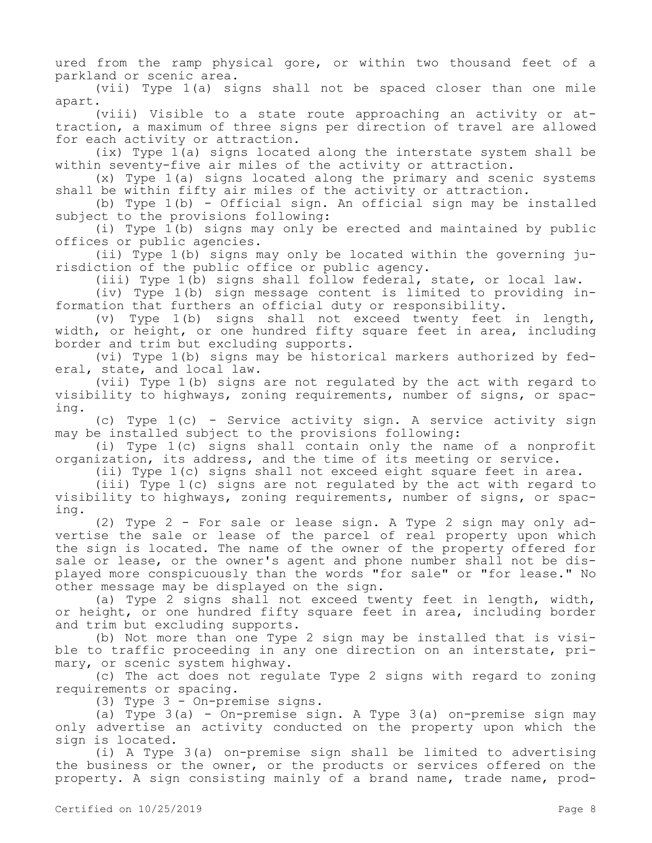ured from the ramp physical gore, or within two thousand feet of a parkland or scenic area.

(vii) Type 1(a) signs shall not be spaced closer than one mile apart.

(viii) Visible to a state route approaching an activity or attraction, a maximum of three signs per direction of travel are allowed for each activity or attraction.

(ix) Type 1(a) signs located along the interstate system shall be within seventy-five air miles of the activity or attraction.

(x) Type 1(a) signs located along the primary and scenic systems shall be within fifty air miles of the activity or attraction.

(b) Type 1(b) - Official sign. An official sign may be installed subject to the provisions following:

(i) Type 1(b) signs may only be erected and maintained by public offices or public agencies.

(ii) Type 1(b) signs may only be located within the governing jurisdiction of the public office or public agency.

(iii) Type 1(b) signs shall follow federal, state, or local law.

(iv) Type 1(b) sign message content is limited to providing information that furthers an official duty or responsibility.

(v) Type 1(b) signs shall not exceed twenty feet in length, width, or height, or one hundred fifty square feet in area, including border and trim but excluding supports.

(vi) Type 1(b) signs may be historical markers authorized by federal, state, and local law.

(vii) Type 1(b) signs are not regulated by the act with regard to visibility to highways, zoning requirements, number of signs, or spacing.

(c) Type 1(c) - Service activity sign. A service activity sign may be installed subject to the provisions following:

(i) Type 1(c) signs shall contain only the name of a nonprofit organization, its address, and the time of its meeting or service.

(ii) Type 1(c) signs shall not exceed eight square feet in area.

(iii) Type 1(c) signs are not regulated by the act with regard to visibility to highways, zoning requirements, number of signs, or spacing.

(2) Type 2 - For sale or lease sign. A Type 2 sign may only advertise the sale or lease of the parcel of real property upon which the sign is located. The name of the owner of the property offered for sale or lease, or the owner's agent and phone number shall not be displayed more conspicuously than the words "for sale" or "for lease." No other message may be displayed on the sign.

(a) Type 2 signs shall not exceed twenty feet in length, width, or height, or one hundred fifty square feet in area, including border and trim but excluding supports.

(b) Not more than one Type 2 sign may be installed that is visible to traffic proceeding in any one direction on an interstate, primary, or scenic system highway.

(c) The act does not regulate Type 2 signs with regard to zoning requirements or spacing.

(3) Type 3 - On-premise signs.

(a) Type 3(a) - On-premise sign. A Type 3(a) on-premise sign may only advertise an activity conducted on the property upon which the sign is located.

(i) A Type 3(a) on-premise sign shall be limited to advertising the business or the owner, or the products or services offered on the property. A sign consisting mainly of a brand name, trade name, prod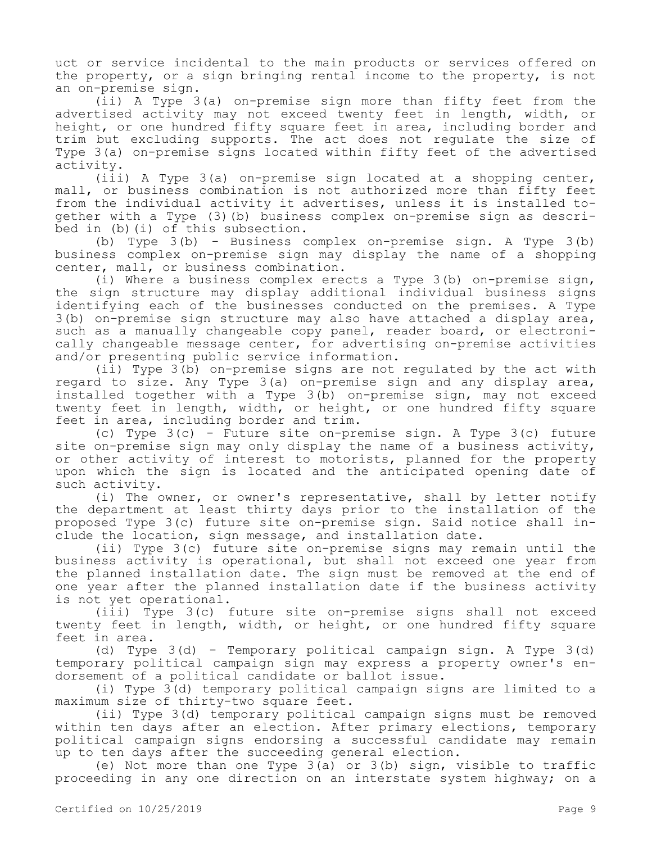uct or service incidental to the main products or services offered on the property, or a sign bringing rental income to the property, is not an on-premise sign.

(ii) A Type 3(a) on-premise sign more than fifty feet from the advertised activity may not exceed twenty feet in length, width, or height, or one hundred fifty square feet in area, including border and trim but excluding supports. The act does not regulate the size of Type 3(a) on-premise signs located within fifty feet of the advertised activity.

(iii) A Type 3(a) on-premise sign located at a shopping center, mall, or business combination is not authorized more than fifty feet from the individual activity it advertises, unless it is installed together with a Type (3)(b) business complex on-premise sign as described in (b)(i) of this subsection.

(b) Type 3(b) - Business complex on-premise sign. A Type 3(b) business complex on-premise sign may display the name of a shopping center, mall, or business combination.

(i) Where a business complex erects a Type 3(b) on-premise sign, the sign structure may display additional individual business signs identifying each of the businesses conducted on the premises. A Type 3(b) on-premise sign structure may also have attached a display area, such as a manually changeable copy panel, reader board, or electronically changeable message center, for advertising on-premise activities and/or presenting public service information.

(ii) Type 3(b) on-premise signs are not regulated by the act with regard to size. Any Type 3(a) on-premise sign and any display area, installed together with a Type 3(b) on-premise sign, may not exceed twenty feet in length, width, or height, or one hundred fifty square feet in area, including border and trim.

(c) Type 3(c) - Future site on-premise sign. A Type 3(c) future site on-premise sign may only display the name of a business activity, or other activity of interest to motorists, planned for the property upon which the sign is located and the anticipated opening date of such activity.

(i) The owner, or owner's representative, shall by letter notify the department at least thirty days prior to the installation of the proposed Type 3(c) future site on-premise sign. Said notice shall include the location, sign message, and installation date.

(ii) Type 3(c) future site on-premise signs may remain until the business activity is operational, but shall not exceed one year from the planned installation date. The sign must be removed at the end of one year after the planned installation date if the business activity is not yet operational.

(iii) Type 3(c) future site on-premise signs shall not exceed twenty feet in length, width, or height, or one hundred fifty square feet in area.

(d) Type 3(d) - Temporary political campaign sign. A Type 3(d) temporary political campaign sign may express a property owner's endorsement of a political candidate or ballot issue.

(i) Type 3(d) temporary political campaign signs are limited to a maximum size of thirty-two square feet.

(ii) Type 3(d) temporary political campaign signs must be removed within ten days after an election. After primary elections, temporary political campaign signs endorsing a successful candidate may remain up to ten days after the succeeding general election.

(e) Not more than one Type 3(a) or 3(b) sign, visible to traffic proceeding in any one direction on an interstate system highway; on a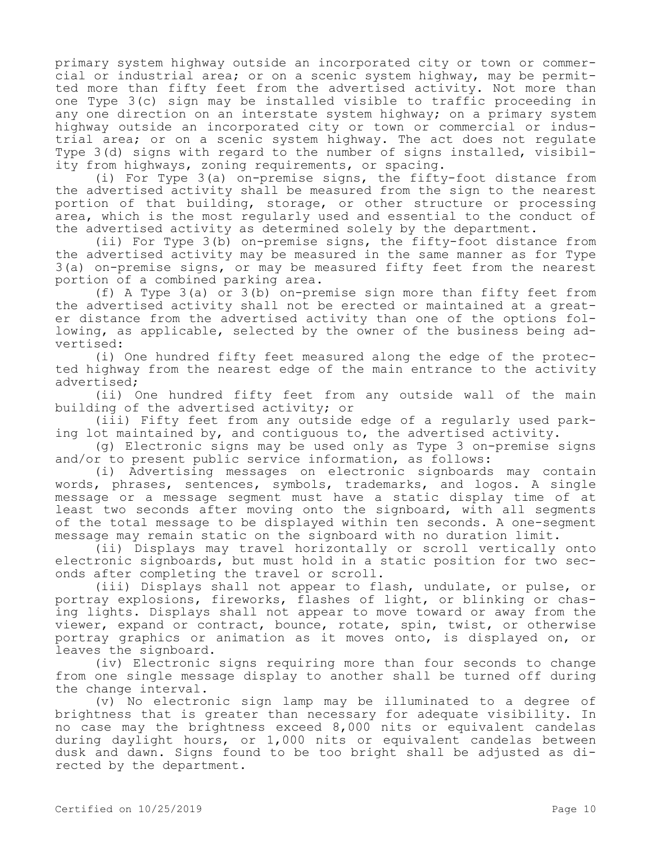primary system highway outside an incorporated city or town or commercial or industrial area; or on a scenic system highway, may be permitted more than fifty feet from the advertised activity. Not more than one Type 3(c) sign may be installed visible to traffic proceeding in any one direction on an interstate system highway; on a primary system highway outside an incorporated city or town or commercial or industrial area; or on a scenic system highway. The act does not regulate Type 3(d) signs with regard to the number of signs installed, visibility from highways, zoning requirements, or spacing.

(i) For Type 3(a) on-premise signs, the fifty-foot distance from the advertised activity shall be measured from the sign to the nearest portion of that building, storage, or other structure or processing area, which is the most regularly used and essential to the conduct of the advertised activity as determined solely by the department.

(ii) For Type 3(b) on-premise signs, the fifty-foot distance from the advertised activity may be measured in the same manner as for Type 3(a) on-premise signs, or may be measured fifty feet from the nearest portion of a combined parking area.

(f) A Type 3(a) or 3(b) on-premise sign more than fifty feet from the advertised activity shall not be erected or maintained at a greater distance from the advertised activity than one of the options following, as applicable, selected by the owner of the business being advertised:

(i) One hundred fifty feet measured along the edge of the protected highway from the nearest edge of the main entrance to the activity advertised;

(ii) One hundred fifty feet from any outside wall of the main building of the advertised activity; or

(iii) Fifty feet from any outside edge of a regularly used parking lot maintained by, and contiguous to, the advertised activity.

(g) Electronic signs may be used only as Type 3 on-premise signs and/or to present public service information, as follows:

(i) Advertising messages on electronic signboards may contain words, phrases, sentences, symbols, trademarks, and logos. A single message or a message segment must have a static display time of at least two seconds after moving onto the signboard, with all segments of the total message to be displayed within ten seconds. A one-segment message may remain static on the signboard with no duration limit.

(ii) Displays may travel horizontally or scroll vertically onto electronic signboards, but must hold in a static position for two seconds after completing the travel or scroll.

(iii) Displays shall not appear to flash, undulate, or pulse, or portray explosions, fireworks, flashes of light, or blinking or chasing lights. Displays shall not appear to move toward or away from the viewer, expand or contract, bounce, rotate, spin, twist, or otherwise portray graphics or animation as it moves onto, is displayed on, or leaves the signboard.

(iv) Electronic signs requiring more than four seconds to change from one single message display to another shall be turned off during the change interval.

(v) No electronic sign lamp may be illuminated to a degree of brightness that is greater than necessary for adequate visibility. In no case may the brightness exceed 8,000 nits or equivalent candelas during daylight hours, or 1,000 nits or equivalent candelas between dusk and dawn. Signs found to be too bright shall be adjusted as directed by the department.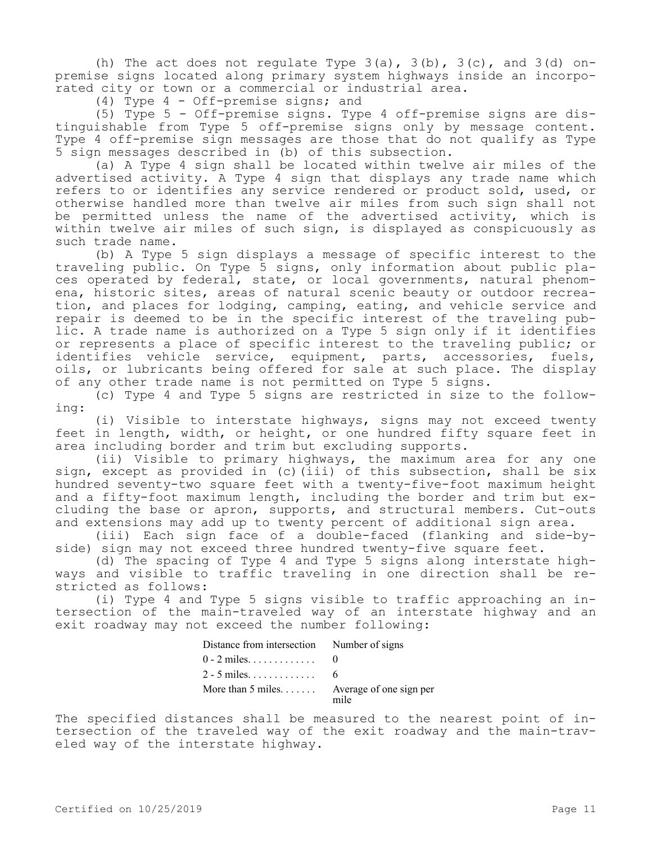(h) The act does not regulate Type  $3(a)$ ,  $3(b)$ ,  $3(c)$ , and  $3(d)$  onpremise signs located along primary system highways inside an incorporated city or town or a commercial or industrial area.

(4) Type 4 - Off-premise signs; and

(5) Type 5 - Off-premise signs. Type 4 off-premise signs are distinguishable from Type 5 off-premise signs only by message content. Type 4 off-premise sign messages are those that do not qualify as Type 5 sign messages described in (b) of this subsection.

(a) A Type 4 sign shall be located within twelve air miles of the advertised activity. A Type 4 sign that displays any trade name which refers to or identifies any service rendered or product sold, used, or otherwise handled more than twelve air miles from such sign shall not be permitted unless the name of the advertised activity, which is within twelve air miles of such sign, is displayed as conspicuously as such trade name.

(b) A Type 5 sign displays a message of specific interest to the traveling public. On Type 5 signs, only information about public places operated by federal, state, or local governments, natural phenomena, historic sites, areas of natural scenic beauty or outdoor recreation, and places for lodging, camping, eating, and vehicle service and repair is deemed to be in the specific interest of the traveling public. A trade name is authorized on a Type 5 sign only if it identifies or represents a place of specific interest to the traveling public; or identifies vehicle service, equipment, parts, accessories, fuels, oils, or lubricants being offered for sale at such place. The display of any other trade name is not permitted on Type 5 signs.

(c) Type 4 and Type 5 signs are restricted in size to the following:

(i) Visible to interstate highways, signs may not exceed twenty feet in length, width, or height, or one hundred fifty square feet in area including border and trim but excluding supports.

(ii) Visible to primary highways, the maximum area for any one sign, except as provided in (c)(iii) of this subsection, shall be six hundred seventy-two square feet with a twenty-five-foot maximum height and a fifty-foot maximum length, including the border and trim but excluding the base or apron, supports, and structural members. Cut-outs and extensions may add up to twenty percent of additional sign area.

(iii) Each sign face of a double-faced (flanking and side-byside) sign may not exceed three hundred twenty-five square feet.

(d) The spacing of Type 4 and Type 5 signs along interstate highways and visible to traffic traveling in one direction shall be restricted as follows:

(i) Type 4 and Type 5 signs visible to traffic approaching an intersection of the main-traveled way of an interstate highway and an exit roadway may not exceed the number following:

| Distance from intersection Number of signs |       |
|--------------------------------------------|-------|
| $0 - 2$ miles.                             |       |
| $2 - 5$ miles.                             | - 6 - |
| More than 5 miles Average of one sign per  | mile  |

The specified distances shall be measured to the nearest point of intersection of the traveled way of the exit roadway and the main-traveled way of the interstate highway.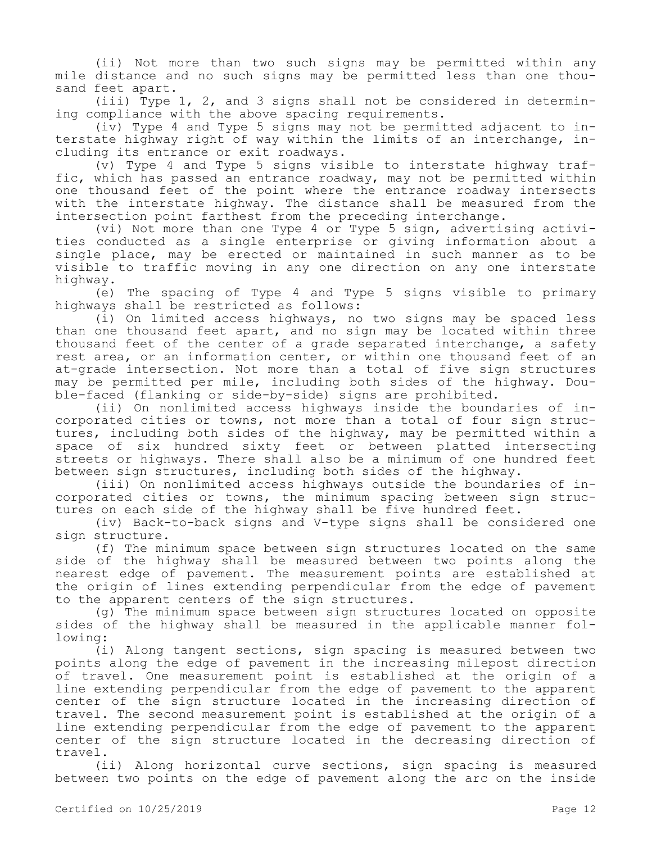(ii) Not more than two such signs may be permitted within any mile distance and no such signs may be permitted less than one thousand feet apart.

(iii) Type 1, 2, and 3 signs shall not be considered in determining compliance with the above spacing requirements.

(iv) Type 4 and Type 5 signs may not be permitted adjacent to interstate highway right of way within the limits of an interchange, including its entrance or exit roadways.

 $(v)$  Type 4 and Type 5 signs visible to interstate highway traffic, which has passed an entrance roadway, may not be permitted within one thousand feet of the point where the entrance roadway intersects with the interstate highway. The distance shall be measured from the intersection point farthest from the preceding interchange.

(vi) Not more than one Type 4 or Type 5 sign, advertising activities conducted as a single enterprise or giving information about a single place, may be erected or maintained in such manner as to be visible to traffic moving in any one direction on any one interstate highway.

(e) The spacing of Type 4 and Type 5 signs visible to primary highways shall be restricted as follows:

(i) On limited access highways, no two signs may be spaced less than one thousand feet apart, and no sign may be located within three thousand feet of the center of a grade separated interchange, a safety rest area, or an information center, or within one thousand feet of an at-grade intersection. Not more than a total of five sign structures may be permitted per mile, including both sides of the highway. Double-faced (flanking or side-by-side) signs are prohibited.

(ii) On nonlimited access highways inside the boundaries of incorporated cities or towns, not more than a total of four sign structures, including both sides of the highway, may be permitted within a space of six hundred sixty feet or between platted intersecting streets or highways. There shall also be a minimum of one hundred feet between sign structures, including both sides of the highway.

(iii) On nonlimited access highways outside the boundaries of incorporated cities or towns, the minimum spacing between sign structures on each side of the highway shall be five hundred feet.

(iv) Back-to-back signs and V-type signs shall be considered one sign structure.

(f) The minimum space between sign structures located on the same side of the highway shall be measured between two points along the nearest edge of pavement. The measurement points are established at the origin of lines extending perpendicular from the edge of pavement to the apparent centers of the sign structures.

(g) The minimum space between sign structures located on opposite sides of the highway shall be measured in the applicable manner following:

(i) Along tangent sections, sign spacing is measured between two points along the edge of pavement in the increasing milepost direction of travel. One measurement point is established at the origin of a line extending perpendicular from the edge of pavement to the apparent center of the sign structure located in the increasing direction of travel. The second measurement point is established at the origin of a line extending perpendicular from the edge of pavement to the apparent center of the sign structure located in the decreasing direction of travel.

(ii) Along horizontal curve sections, sign spacing is measured between two points on the edge of pavement along the arc on the inside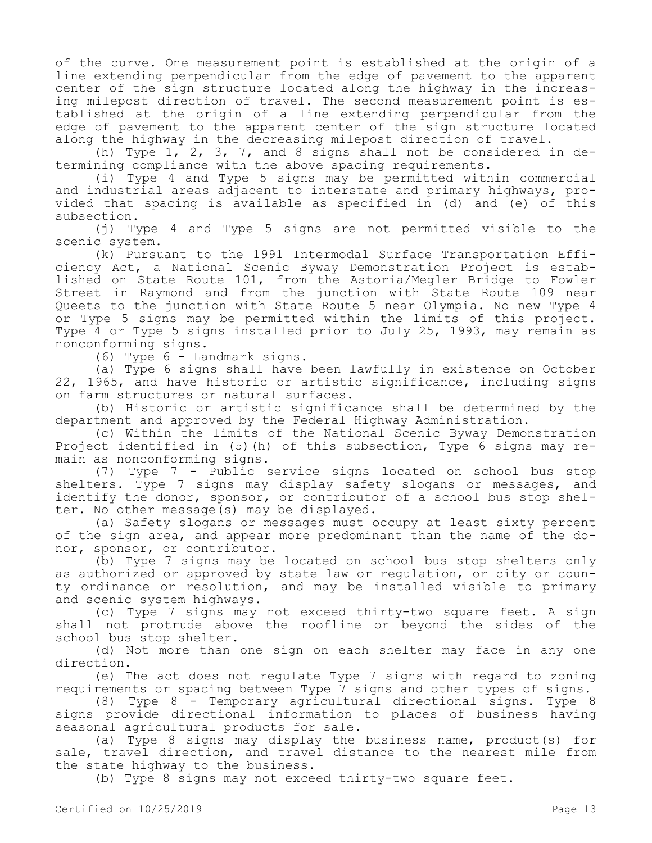of the curve. One measurement point is established at the origin of a line extending perpendicular from the edge of pavement to the apparent center of the sign structure located along the highway in the increasing milepost direction of travel. The second measurement point is established at the origin of a line extending perpendicular from the edge of pavement to the apparent center of the sign structure located along the highway in the decreasing milepost direction of travel.

(h) Type 1, 2, 3, 7, and 8 signs shall not be considered in determining compliance with the above spacing requirements.

(i) Type 4 and Type 5 signs may be permitted within commercial and industrial areas adjacent to interstate and primary highways, provided that spacing is available as specified in (d) and (e) of this subsection.

(j) Type 4 and Type 5 signs are not permitted visible to the scenic system.

(k) Pursuant to the 1991 Intermodal Surface Transportation Efficiency Act, a National Scenic Byway Demonstration Project is established on State Route 101, from the Astoria/Megler Bridge to Fowler Street in Raymond and from the junction with State Route 109 near Queets to the junction with State Route 5 near Olympia. No new Type 4 or Type 5 signs may be permitted within the limits of this project. Type 4 or Type 5 signs installed prior to July 25, 1993, may remain as nonconforming signs.

(6) Type 6 - Landmark signs.

(a) Type 6 signs shall have been lawfully in existence on October 22, 1965, and have historic or artistic significance, including signs on farm structures or natural surfaces.

(b) Historic or artistic significance shall be determined by the department and approved by the Federal Highway Administration.

(c) Within the limits of the National Scenic Byway Demonstration Project identified in (5)(h) of this subsection, Type 6 signs may remain as nonconforming signs.

(7) Type 7 - Public service signs located on school bus stop shelters. Type 7 signs may display safety slogans or messages, and identify the donor, sponsor, or contributor of a school bus stop shelter. No other message(s) may be displayed.

(a) Safety slogans or messages must occupy at least sixty percent of the sign area, and appear more predominant than the name of the donor, sponsor, or contributor.

(b) Type 7 signs may be located on school bus stop shelters only as authorized or approved by state law or regulation, or city or county ordinance or resolution, and may be installed visible to primary and scenic system highways.

(c) Type 7 signs may not exceed thirty-two square feet. A sign shall not protrude above the roofline or beyond the sides of the school bus stop shelter.

(d) Not more than one sign on each shelter may face in any one direction.

(e) The act does not regulate Type 7 signs with regard to zoning requirements or spacing between Type 7 signs and other types of signs.

(8) Type 8 - Temporary agricultural directional signs. Type 8 signs provide directional information to places of business having seasonal agricultural products for sale.

(a) Type 8 signs may display the business name, product(s) for sale, travel direction, and travel distance to the nearest mile from the state highway to the business.

(b) Type 8 signs may not exceed thirty-two square feet.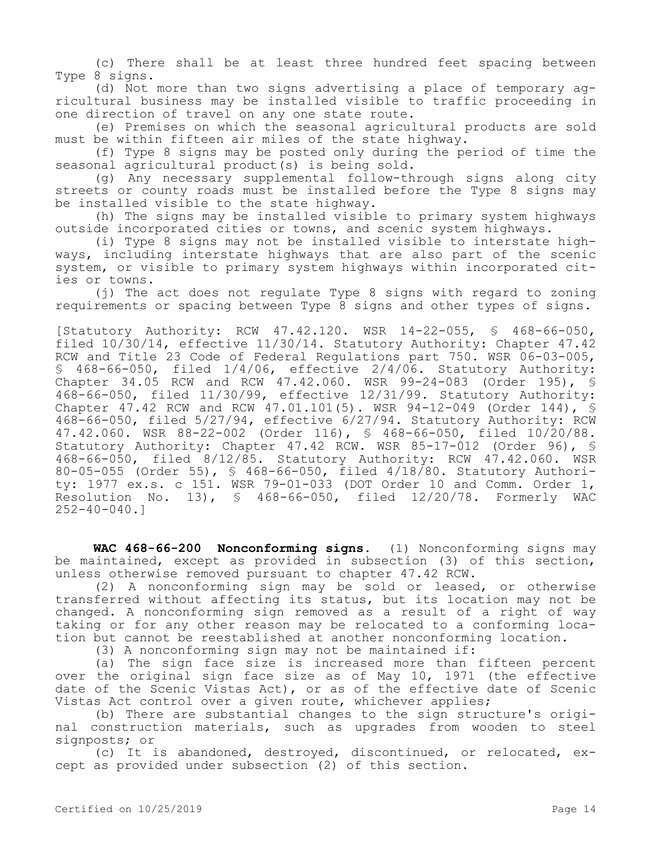(c) There shall be at least three hundred feet spacing between Type 8 signs.

(d) Not more than two signs advertising a place of temporary agricultural business may be installed visible to traffic proceeding in one direction of travel on any one state route.

(e) Premises on which the seasonal agricultural products are sold must be within fifteen air miles of the state highway.

(f) Type 8 signs may be posted only during the period of time the seasonal agricultural product(s) is being sold.

(g) Any necessary supplemental follow-through signs along city streets or county roads must be installed before the Type 8 signs may be installed visible to the state highway.

(h) The signs may be installed visible to primary system highways outside incorporated cities or towns, and scenic system highways.

(i) Type 8 signs may not be installed visible to interstate highways, including interstate highways that are also part of the scenic system, or visible to primary system highways within incorporated cities or towns.

(j) The act does not regulate Type 8 signs with regard to zoning requirements or spacing between Type 8 signs and other types of signs.

[Statutory Authority: RCW 47.42.120. WSR 14-22-055, § 468-66-050, filed 10/30/14, effective 11/30/14. Statutory Authority: Chapter 47.42 RCW and Title 23 Code of Federal Regulations part 750. WSR 06-03-005, § 468-66-050, filed 1/4/06, effective 2/4/06. Statutory Authority: Chapter 34.05 RCW and RCW 47.42.060. WSR 99-24-083 (Order 195), § 468-66-050, filed 11/30/99, effective 12/31/99. Statutory Authority: Chapter 47.42 RCW and RCW 47.01.101(5). WSR 94-12-049 (Order 144), § 468-66-050, filed 5/27/94, effective 6/27/94. Statutory Authority: RCW 47.42.060. WSR 88-22-002 (Order 116), § 468-66-050, filed 10/20/88. Statutory Authority: Chapter 47.42 RCW. WSR 85-17-012 (Order 96), § 468-66-050, filed 8/12/85. Statutory Authority: RCW 47.42.060. WSR 80-05-055 (Order 55), § 468-66-050, filed 4/18/80. Statutory Authority: 1977 ex.s. c 151. WSR 79-01-033 (DOT Order 10 and Comm. Order 1, Resolution No. 13), § 468-66-050, filed 12/20/78. Formerly WAC 252-40-040.]

**WAC 468-66-200 Nonconforming signs.** (1) Nonconforming signs may be maintained, except as provided in subsection (3) of this section, unless otherwise removed pursuant to chapter 47.42 RCW.

(2) A nonconforming sign may be sold or leased, or otherwise transferred without affecting its status, but its location may not be changed. A nonconforming sign removed as a result of a right of way taking or for any other reason may be relocated to a conforming location but cannot be reestablished at another nonconforming location.

(3) A nonconforming sign may not be maintained if:

(a) The sign face size is increased more than fifteen percent over the original sign face size as of May 10, 1971 (the effective date of the Scenic Vistas Act), or as of the effective date of Scenic Vistas Act control over a given route, whichever applies;

(b) There are substantial changes to the sign structure's original construction materials, such as upgrades from wooden to steel signposts; or

(c) It is abandoned, destroyed, discontinued, or relocated, except as provided under subsection (2) of this section.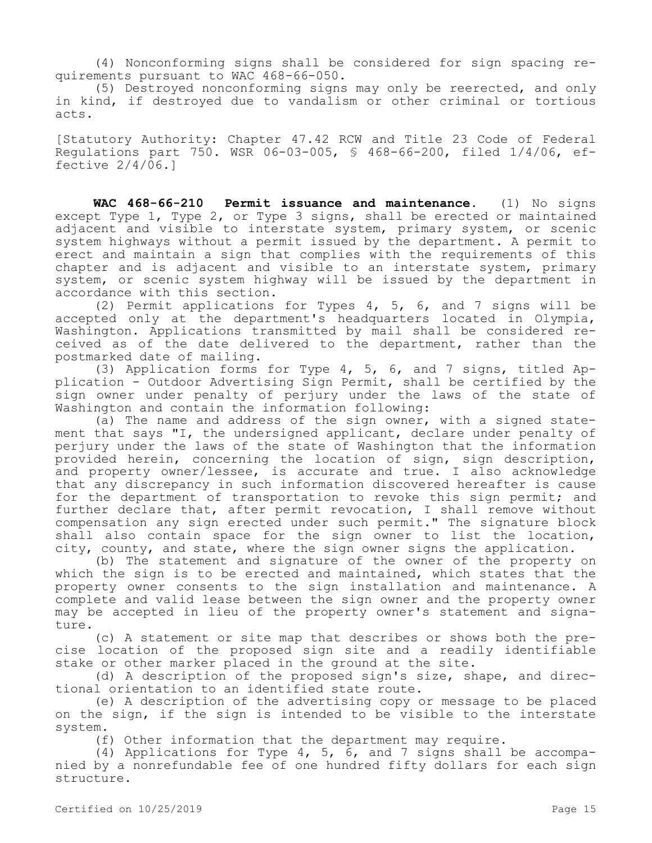(4) Nonconforming signs shall be considered for sign spacing requirements pursuant to WAC 468-66-050.

(5) Destroyed nonconforming signs may only be reerected, and only in kind, if destroyed due to vandalism or other criminal or tortious acts.

[Statutory Authority: Chapter 47.42 RCW and Title 23 Code of Federal Regulations part 750. WSR 06-03-005, § 468-66-200, filed 1/4/06, effective  $2/4/\overline{06}$ .

**WAC 468-66-210 Permit issuance and maintenance.** (1) No signs except Type 1, Type 2, or Type 3 signs, shall be erected or maintained adjacent and visible to interstate system, primary system, or scenic system highways without a permit issued by the department. A permit to erect and maintain a sign that complies with the requirements of this chapter and is adjacent and visible to an interstate system, primary system, or scenic system highway will be issued by the department in accordance with this section.

(2) Permit applications for Types 4, 5, 6, and 7 signs will be accepted only at the department's headquarters located in Olympia, Washington. Applications transmitted by mail shall be considered received as of the date delivered to the department, rather than the postmarked date of mailing.

(3) Application forms for Type 4, 5, 6, and 7 signs, titled Application - Outdoor Advertising Sign Permit, shall be certified by the sign owner under penalty of perjury under the laws of the state of Washington and contain the information following:

(a) The name and address of the sign owner, with a signed statement that says "I, the undersigned applicant, declare under penalty of perjury under the laws of the state of Washington that the information provided herein, concerning the location of sign, sign description, and property owner/lessee, is accurate and true. I also acknowledge that any discrepancy in such information discovered hereafter is cause for the department of transportation to revoke this sign permit; and further declare that, after permit revocation, I shall remove without compensation any sign erected under such permit." The signature block shall also contain space for the sign owner to list the location, city, county, and state, where the sign owner signs the application.

(b) The statement and signature of the owner of the property on which the sign is to be erected and maintained, which states that the property owner consents to the sign installation and maintenance. A complete and valid lease between the sign owner and the property owner may be accepted in lieu of the property owner's statement and signature.

(c) A statement or site map that describes or shows both the precise location of the proposed sign site and a readily identifiable stake or other marker placed in the ground at the site.

(d) A description of the proposed sign's size, shape, and directional orientation to an identified state route.

(e) A description of the advertising copy or message to be placed on the sign, if the sign is intended to be visible to the interstate system.

(f) Other information that the department may require.

(4) Applications for Type 4, 5, 6, and 7 signs shall be accompanied by a nonrefundable fee of one hundred fifty dollars for each sign structure.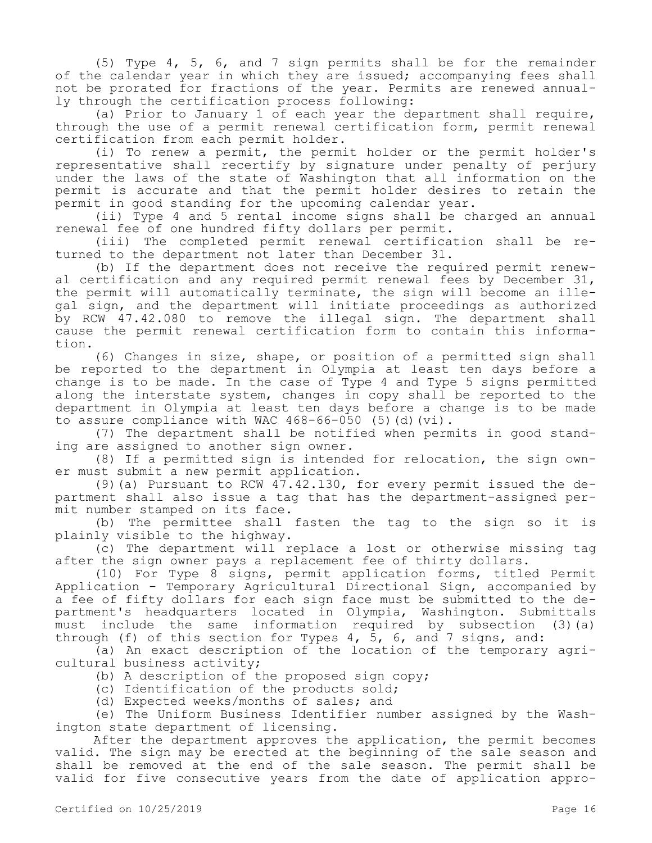(5) Type 4, 5, 6, and 7 sign permits shall be for the remainder of the calendar year in which they are issued; accompanying fees shall not be prorated for fractions of the year. Permits are renewed annually through the certification process following:

(a) Prior to January 1 of each year the department shall require, through the use of a permit renewal certification form, permit renewal certification from each permit holder.

(i) To renew a permit, the permit holder or the permit holder's representative shall recertify by signature under penalty of perjury under the laws of the state of Washington that all information on the permit is accurate and that the permit holder desires to retain the permit in good standing for the upcoming calendar year.

(ii) Type 4 and 5 rental income signs shall be charged an annual renewal fee of one hundred fifty dollars per permit.

(iii) The completed permit renewal certification shall be returned to the department not later than December 31.

(b) If the department does not receive the required permit renewal certification and any required permit renewal fees by December 31, the permit will automatically terminate, the sign will become an illegal sign, and the department will initiate proceedings as authorized by RCW 47.42.080 to remove the illegal sign. The department shall cause the permit renewal certification form to contain this information.

(6) Changes in size, shape, or position of a permitted sign shall be reported to the department in Olympia at least ten days before a change is to be made. In the case of Type 4 and Type 5 signs permitted along the interstate system, changes in copy shall be reported to the department in Olympia at least ten days before a change is to be made to assure compliance with WAC 468-66-050 (5)(d)(vi).

(7) The department shall be notified when permits in good standing are assigned to another sign owner.

(8) If a permitted sign is intended for relocation, the sign owner must submit a new permit application.

(9)(a) Pursuant to RCW 47.42.130, for every permit issued the department shall also issue a tag that has the department-assigned permit number stamped on its face.

(b) The permittee shall fasten the tag to the sign so it is plainly visible to the highway.

(c) The department will replace a lost or otherwise missing tag after the sign owner pays a replacement fee of thirty dollars.

(10) For Type 8 signs, permit application forms, titled Permit Application - Temporary Agricultural Directional Sign, accompanied by a fee of fifty dollars for each sign face must be submitted to the department's headquarters located in Olympia, Washington. Submittals must include the same information required by subsection (3)(a) through (f) of this section for Types 4, 5, 6, and 7 signs, and:

(a) An exact description of the location of the temporary agricultural business activity;

(b) A description of the proposed sign copy;

(c) Identification of the products sold;

(d) Expected weeks/months of sales; and

(e) The Uniform Business Identifier number assigned by the Washington state department of licensing.

After the department approves the application, the permit becomes valid. The sign may be erected at the beginning of the sale season and shall be removed at the end of the sale season. The permit shall be valid for five consecutive years from the date of application appro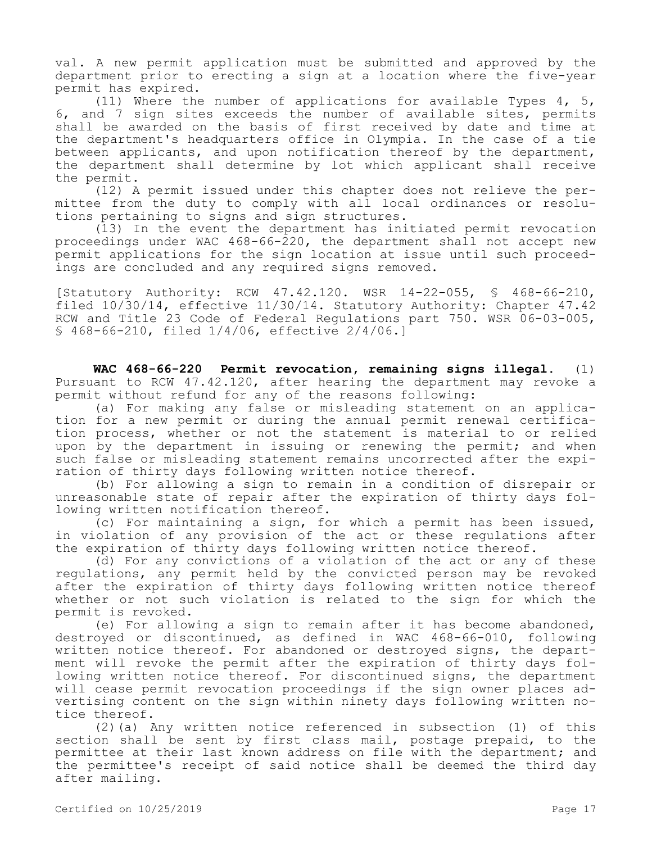val. A new permit application must be submitted and approved by the department prior to erecting a sign at a location where the five-year permit has expired.

(11) Where the number of applications for available Types 4, 5, 6, and 7 sign sites exceeds the number of available sites, permits shall be awarded on the basis of first received by date and time at the department's headquarters office in Olympia. In the case of a tie between applicants, and upon notification thereof by the department, the department shall determine by lot which applicant shall receive the permit.

(12) A permit issued under this chapter does not relieve the permittee from the duty to comply with all local ordinances or resolutions pertaining to signs and sign structures.

(13) In the event the department has initiated permit revocation proceedings under WAC 468-66-220, the department shall not accept new permit applications for the sign location at issue until such proceedings are concluded and any required signs removed.

[Statutory Authority: RCW 47.42.120. WSR 14-22-055, § 468-66-210, filed 10/30/14, effective 11/30/14. Statutory Authority: Chapter 47.42 RCW and Title 23 Code of Federal Regulations part 750. WSR 06-03-005, § 468-66-210, filed 1/4/06, effective 2/4/06.]

**WAC 468-66-220 Permit revocation, remaining signs illegal.** (1) Pursuant to RCW 47.42.120, after hearing the department may revoke a permit without refund for any of the reasons following:

(a) For making any false or misleading statement on an application for a new permit or during the annual permit renewal certification process, whether or not the statement is material to or relied upon by the department in issuing or renewing the permit; and when such false or misleading statement remains uncorrected after the expiration of thirty days following written notice thereof.

(b) For allowing a sign to remain in a condition of disrepair or unreasonable state of repair after the expiration of thirty days following written notification thereof.

(c) For maintaining a sign, for which a permit has been issued, in violation of any provision of the act or these regulations after the expiration of thirty days following written notice thereof.

(d) For any convictions of a violation of the act or any of these regulations, any permit held by the convicted person may be revoked after the expiration of thirty days following written notice thereof whether or not such violation is related to the sign for which the permit is revoked.

(e) For allowing a sign to remain after it has become abandoned, destroyed or discontinued, as defined in WAC 468-66-010, following written notice thereof. For abandoned or destroyed signs, the department will revoke the permit after the expiration of thirty days following written notice thereof. For discontinued signs, the department will cease permit revocation proceedings if the sign owner places advertising content on the sign within ninety days following written notice thereof.

(2)(a) Any written notice referenced in subsection (1) of this section shall be sent by first class mail, postage prepaid, to the permittee at their last known address on file with the department; and the permittee's receipt of said notice shall be deemed the third day after mailing.